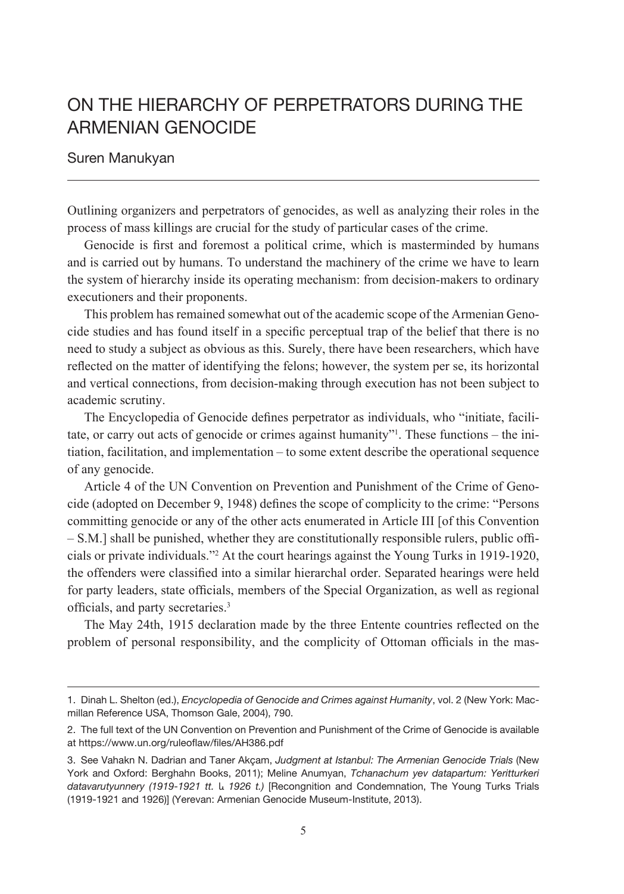# On The Hierarchy Of Perpetrators During The Armenian Genocide

#### Suren Manukyan

Outlining organizers and perpetrators of genocides, as well as analyzing their roles in the process of mass killings are crucial for the study of particular cases of the crime.

Genocide is first and foremost a political crime, which is masterminded by humans and is carried out by humans. To understand the machinery of the crime we have to learn the system of hierarchy inside its operating mechanism: from decision-makers to ordinary executioners and their proponents.

This problem has remained somewhat out of the academic scope of the Armenian Genocide studies and has found itself in a specific perceptual trap of the belief that there is no need to study a subject as obvious as this. Surely, there have been researchers, which have reflected on the matter of identifying the felons; however, the system per se, its horizontal and vertical connections, from decision-making through execution has not been subject to academic scrutiny.

The Encyclopedia of Genocide defines perpetrator as individuals, who "initiate, facilitate, or carry out acts of genocide or crimes against humanity"1 . These functions – the initiation, facilitation, and implementation – to some extent describe the operational sequence of any genocide.

Article 4 of the UN Convention on Prevention and Punishment of the Crime of Genocide (adopted on December 9, 1948) defines the scope of complicity to the crime: "Persons committing genocide or any of the other acts enumerated in Article III [of this Convention – S.M.] shall be punished, whether they are constitutionally responsible rulers, public officials or private individuals."2 At the court hearings against the Young Turks in 1919-1920, the offenders were classified into a similar hierarchal order. Separated hearings were held for party leaders, state officials, members of the Special Organization, as well as regional officials, and party secretaries.<sup>3</sup>

The May 24th, 1915 declaration made by the three Entente countries reflected on the problem of personal responsibility, and the complicity of Ottoman officials in the mas-

<sup>1.</sup> Dinah L. Shelton (ed.), *Encyclopedia of Genocide and Crimes against Humanity*, vol. 2 (New York: Macmillan Reference USA, Thomson Gale, 2004), 790.

<sup>2.</sup> The full text of the UN Convention on Prevention and Punishment of the Crime of Genocide is available at https://www.un.org/ruleoflaw/files/AH386.pdf

<sup>3.</sup> See Vahakn N. Dadrian and Taner Akçam, *Judgment at Istanbul: The Armenian Genocide Trials* (New York and Oxford: Berghahn Books, 2011); Meline Anumyan, *Tchanachum yev datapartum: Yeritturkeri datavarutyunnery (1919-1921 tt.* և *1926 t.)* [Recongnition and Condemnation, The Young Turks Trials (1919-1921 and 1926)] (Yerevan: Armenian Genocide Museum-Institute, 2013).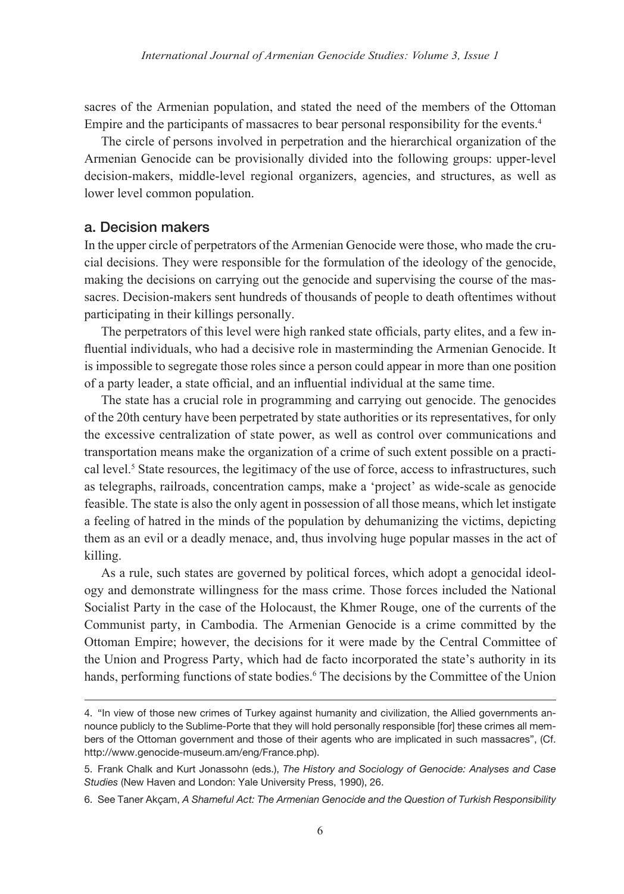sacres of the Armenian population, and stated the need of the members of the Ottoman Empire and the participants of massacres to bear personal responsibility for the events.4

The circle of persons involved in perpetration and the hierarchical organization of the Armenian Genocide can be provisionally divided into the following groups: upper-level decision-makers, middle-level regional organizers, agencies, and structures, as well as lower level common population.

## a. Decision makers

In the upper circle of perpetrators of the Armenian Genocide were those, who made the crucial decisions. They were responsible for the formulation of the ideology of the genocide, making the decisions on carrying out the genocide and supervising the course of the massacres. Decision-makers sent hundreds of thousands of people to death oftentimes without participating in their killings personally.

The perpetrators of this level were high ranked state officials, party elites, and a few influential individuals, who had a decisive role in masterminding the Armenian Genocide. It is impossible to segregate those roles since a person could appear in more than one position of a party leader, a state official, and an influential individual at the same time.

The state has a crucial role in programming and carrying out genocide. The genocides of the 20th century have been perpetrated by state authorities or its representatives, for only the excessive centralization of state power, as well as control over communications and transportation means make the organization of a crime of such extent possible on a practical level.<sup>5</sup> State resources, the legitimacy of the use of force, access to infrastructures, such as telegraphs, railroads, concentration camps, make a 'project' as wide-scale as genocide feasible. The state is also the only agent in possession of all those means, which let instigate a feeling of hatred in the minds of the population by dehumanizing the victims, depicting them as an evil or a deadly menace, and, thus involving huge popular masses in the act of killing.

As a rule, such states are governed by political forces, which adopt a genocidal ideology and demonstrate willingness for the mass crime. Those forces included the National Socialist Party in the case of the Holocaust, the Khmer Rouge, one of the currents of the Communist party, in Cambodia. The Armenian Genocide is a crime committed by the Ottoman Empire; however, the decisions for it were made by the Central Committee of the Union and Progress Party, which had de facto incorporated the state's authority in its hands, performing functions of state bodies.<sup>6</sup> The decisions by the Committee of the Union

<sup>4.</sup> "In view of those new crimes of Turkey against humanity and civilization, the Allied governments announce publicly to the Sublime-Porte that they will hold personally responsible [for] these crimes all members of the Ottoman government and those of their agents who are implicated in such massacres", (Cf. http://www.genocide-museum.am/eng/France.php).

<sup>5.</sup> Frank Chalk and Kurt Jonassohn (eds.), *The History and Sociology of Genocide: Analyses and Case Studies* (New Haven and London: Yale University Press, 1990), 26.

<sup>6.</sup> See Taner Akçam, *A Shameful Act: The Armenian Genocide and the Question of Turkish Responsibility*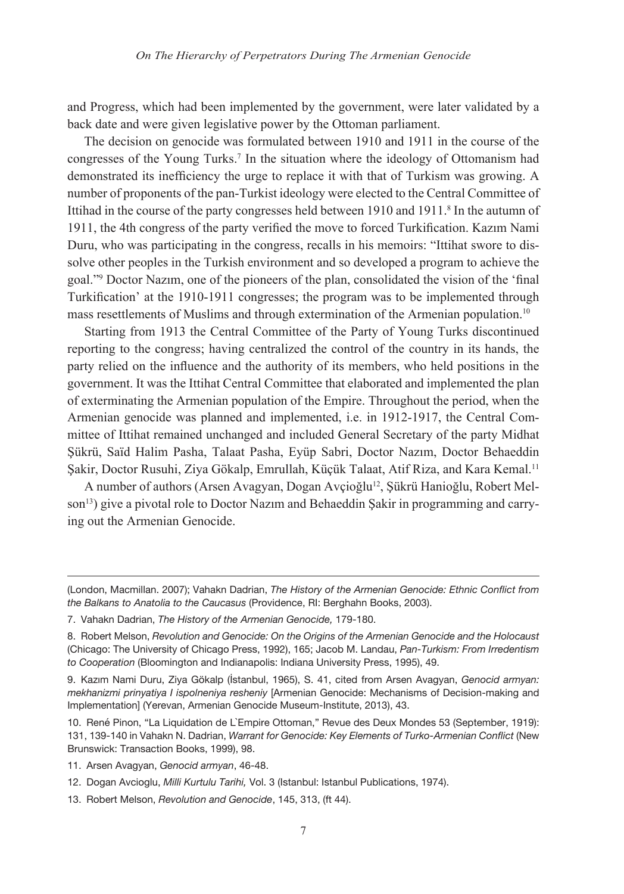and Progress, which had been implemented by the government, were later validated by a back date and were given legislative power by the Ottoman parliament.

The decision on genocide was formulated between 1910 and 1911 in the course of the congresses of the Young Turks.<sup>7</sup> In the situation where the ideology of Ottomanism had demonstrated its inefficiency the urge to replace it with that of Turkism was growing. A number of proponents of the pan-Turkist ideology were elected to the Central Committee of Ittihad in the course of the party congresses held between 1910 and 1911.<sup>8</sup> In the autumn of 1911, the 4th congress of the party verified the move to forced Turkification. Kazım Nami Duru, who was participating in the congress, recalls in his memoirs: "Ittihat swore to dissolve other peoples in the Turkish environment and so developed a program to achieve the goal."9 Doctor Nazım, one of the pioneers of the plan, consolidated the vision of the 'final Turkification' at the 1910-1911 congresses; the program was to be implemented through mass resettlements of Muslims and through extermination of the Armenian population.10

Starting from 1913 the Central Committee of the Party of Young Turks discontinued reporting to the congress; having centralized the control of the country in its hands, the party relied on the influence and the authority of its members, who held positions in the government. It was the Ittihat Central Committee that elaborated and implemented the plan of exterminating the Armenian population of the Empire. Throughout the period, when the Armenian genocide was planned and implemented, i.e. in 1912-1917, the Central Committee of Ittihat remained unchanged and included General Secretary of the party Midhat Şükrü, Saïd Halim Pasha, Talaat Pasha, Eyüp Sabri, Doctor Nazım, Doctor Behaeddin Şakir, Doctor Rusuhi, Ziya Gökalp, Emrullah, Küçük Talaat, Atif Riza, and Kara Kemal.<sup>11</sup>

A number of authors (Arsen Avagyan, Dogan Avçioğlu12, Şükrü Hanioğlu, Robert Melson<sup>13</sup>) give a pivotal role to Doctor Nazim and Behaeddin Sakir in programming and carrying out the Armenian Genocide.

<sup>(</sup>London, Macmillan. 2007); Vahakn Dadrian, *The History of the Armenian Genocide: Ethnic Conflict from the Balkans to Anatolia to the Caucasus* (Providence, RI: Berghahn Books, 2003).

<sup>7.</sup> Vahakn Dadrian, *The History of the Armenian Genocide,* 179-180.

<sup>8.</sup> Robert Melson, *Revolution and Genocide: On the Origins of the Armenian Genocide and the Holocaust* (Chicago: The University of Chicago Press, 1992), 165; Jacob M. Landau, *Pan-Turkism: From Irredentism to Cooperation* (Bloomington and Indianapolis: Indiana University Press, 1995), 49.

<sup>9.</sup> Kazım Nami Duru, Ziya Gökalp (İstanbul, 1965), S. 41, cited from Arsen Avagyan, *Genocid armyan: mekhanizmi prinyatiya I ispolneniya resheniy* [Armenian Genocide: Mechanisms of Decision-making and Implementation] (Yerevan, Armenian Genocide Museum-Institute, 2013), 43.

<sup>10.</sup> René Pinon, "La Liquidation de L`Empire Ottoman," Revue des Deux Mondes 53 (September, 1919): 131, 139-140 in Vahakn N. Dadrian, *Warrant for Genocide: Key Elements of Turko-Armenian Conflict* (New Brunswick: Transaction Books, 1999), 98.

<sup>11.</sup> Arsen Avagyan, *Genocid armyan*, 46-48.

<sup>12.</sup> Dogan Avcioglu, *Milli Kurtulu Tarihi,* Vol. 3 (Istanbul: Istanbul Publications, 1974).

<sup>13.</sup> Robert Melson, *Revolution and Genocide*, 145, 313, (ft 44).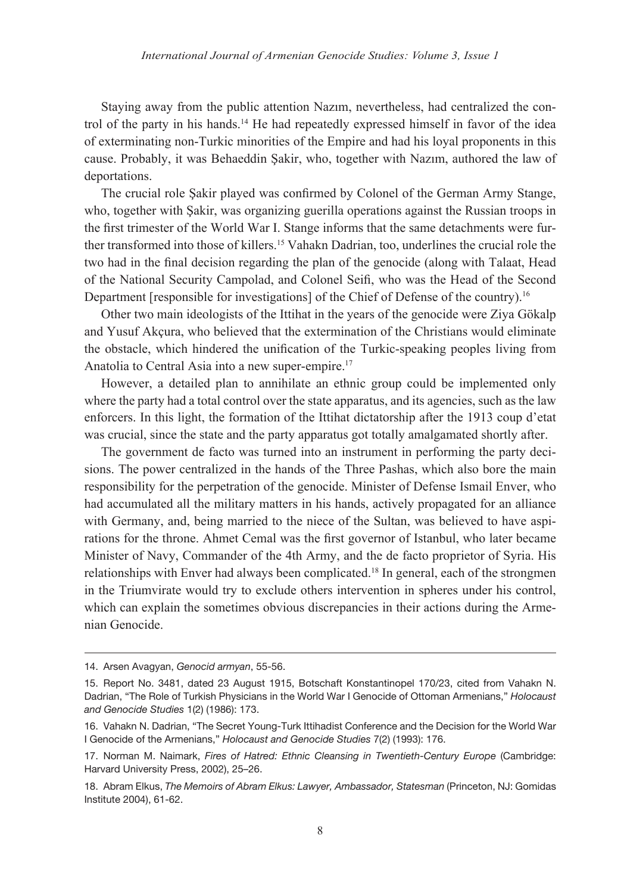Staying away from the public attention Nazım, nevertheless, had centralized the control of the party in his hands.<sup>14</sup> He had repeatedly expressed himself in favor of the idea of exterminating non-Turkic minorities of the Empire and had his loyal proponents in this cause. Probably, it was Behaeddin Şakir, who, together with Nazım, authored the law of deportations.

The crucial role Şakir played was confirmed by Colonel of the German Army Stange, who, together with Şakir, was organizing guerilla operations against the Russian troops in the first trimester of the World War I. Stange informs that the same detachments were further transformed into those of killers.15 Vahakn Dadrian, too, underlines the crucial role the two had in the final decision regarding the plan of the genocide (along with Talaat, Head of the National Security Campolad, and Colonel Seifi, who was the Head of the Second Department [responsible for investigations] of the Chief of Defense of the country).16

Other two main ideologists of the Ittihat in the years of the genocide were Ziya Gökalp and Yusuf Akçura, who believed that the extermination of the Christians would eliminate the obstacle, which hindered the unification of the Turkic-speaking peoples living from Anatolia to Central Asia into a new super-empire.17

However, a detailed plan to annihilate an ethnic group could be implemented only where the party had a total control over the state apparatus, and its agencies, such as the law enforcers. In this light, the formation of the Ittihat dictatorship after the 1913 coup d'etat was crucial, since the state and the party apparatus got totally amalgamated shortly after.

The government de facto was turned into an instrument in performing the party decisions. The power centralized in the hands of the Three Pashas, which also bore the main responsibility for the perpetration of the genocide. Minister of Defense Ismail Enver, who had accumulated all the military matters in his hands, actively propagated for an alliance with Germany, and, being married to the niece of the Sultan, was believed to have aspirations for the thronе. Ahmet Cemal was the first governor of Istanbul, who later became Minister of Navy, Commander of the 4th Army, and the de facto proprietor of Syria. His relationships with Enver had always been complicated.18 In general, each of the strongmen in the Triumvirate would try to exclude others intervention in spheres under his control, which can explain the sometimes obvious discrepancies in their actions during the Armenian Genocide.

<sup>14.</sup> Arsen Avagyan, *Genocid armyan*, 55-56.

<sup>15.</sup> Report No. 3481, dated 23 August 1915, Botschaft Konstantinopel 170/23, cited from Vahakn N. Dadrian, "The Role of Turkish Physicians in the World War I Genocide of Ottoman Armenians," *Holocaust and Genocide Studies* 1(2) (1986): 173.

<sup>16.</sup> Vahakn N. Dadrian, "The Secret Young-Turk Ittihadist Conference and the Decision for the World War I Genocide of the Armenians," *Holocaust and Genocide Studies* 7(2) (1993): 176.

<sup>17.</sup> Norman M. Naimark, *Fires of Hatred: Ethnic Cleansing in Twentieth-Century Europe* (Cambridge: Harvard University Press, 2002), 25–26.

<sup>18.</sup> Abram Elkus, *The Memoirs of Abram Elkus: Lawyer, Ambassador, Statesman* (Princeton, NJ: Gomidas Institute 2004), 61-62.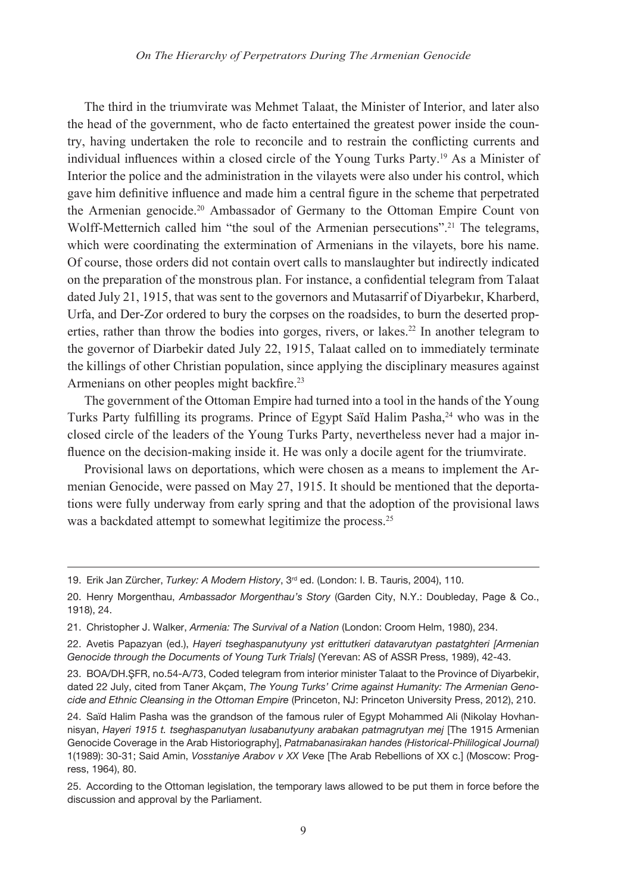The third in the triumvirate was Mehmet Talaat, the Minister of Interior, and later also the head of the government, who de facto entertained the greatest power inside the country, having undertaken the role to reconcile and to restrain the conflicting currents and individual influences within a closed circle of the Young Turks Party.19 As a Minister of Interior the police and the administration in the vilayets were also under his control, which gave him definitive influence and made him a central figure in the scheme that perpetrated the Armenian genocide.20 Ambassador of Germany to the Ottoman Empire Count von Wolff-Metternich called him "the soul of the Armenian persecutions".<sup>21</sup> The telegrams, which were coordinating the extermination of Armenians in the vilayets, bore his name. Of course, those orders did not contain overt calls to manslaughter but indirectly indicated on the preparation of the monstrous plan. For instance, a confidential telegram from Talaat dated July 21, 1915, that was sent to the governors and Mutasarrif of Diyarbekır, Kharberd, Urfa, and Der-Zor ordered to bury the corpses on the roadsides, to burn the deserted properties, rather than throw the bodies into gorges, rivers, or lakes.<sup>22</sup> In another telegram to the governor of Diarbekir dated July 22, 1915, Talaat called on to immediately terminate the killings of other Christian population, since applying the disciplinary measures against Armenians on other peoples might backfire.<sup>23</sup>

The government of the Ottoman Empire had turned into a tool in the hands of the Young Turks Party fulfilling its programs. Prince of Egypt Saïd Halim Pasha,<sup>24</sup> who was in the closed circle of the leaders of the Young Turks Party, nevertheless never had a major influence on the decision-making inside it. He was only a docile agent for the triumvirate.

Provisional laws on deportations, which were chosen as a means to implement the Armenian Genocide, were passed on May 27, 1915. It should be mentioned that the deportations were fully underway from early spring and that the adoption of the provisional laws was a backdated attempt to somewhat legitimize the process.<sup>25</sup>

<sup>19.</sup> Erik Jan Zürcher, *Turkey: A Modern History*, 3rd ed. (London: I. B. Tauris, 2004), 110.

<sup>20.</sup> Henry Morgenthau, *Ambassador Morgenthau's Story* (Garden City, N.Y.: Doubleday, Page & Co., 1918), 24.

<sup>21.</sup> Christopher J. Walker, *Armenia: The Survival of a Nation* (London: Croom Helm, 1980), 234.

<sup>22.</sup> Avetis Papazyan (ed.), *Hayeri tseghaspanutyuny yst erittutkeri datavarutyan pastatghteri [Armenian Genocide through the Documents of Young Turk Trials]* (Yerevan: AS of ASSR Press, 1989), 42-43.

<sup>23.</sup> BOA/DH.ŞFR, no.54-A/73, Coded telegram from interior minister Talaat to the Province of Diyarbekir, dated 22 July, cited from Taner Akçam, *The Young Turks' Crime against Humanity: The Armenian Genocide and Ethnic Cleansing in the Ottoman Empire* (Princeton, NJ: Princeton University Press, 2012), 210.

<sup>24.</sup> Saïd Halim Pasha was the grandson of the famous ruler of Egypt Mohammed Ali (Nikolay Hovhannisyan, *Hayeri 1915 t. tseghaspanutyan lusabanutyuny arabakan patmagrutyan mej* [The 1915 Armenian Genocide Coverage in the Arab Historiography], *Patmabanasirakan handes (Historical-Phililogical Journal)* 1(1989): 30-31; Said Amin, *Vosstaniyе Arabov v XX V*еке [The Arab Rebellions of XX c.] (Мoscow: Progress, 1964), 80.

<sup>25.</sup> According to the Ottoman legislation, the temporary laws allowed to be put them in force before the discussion and approval by the Parliament.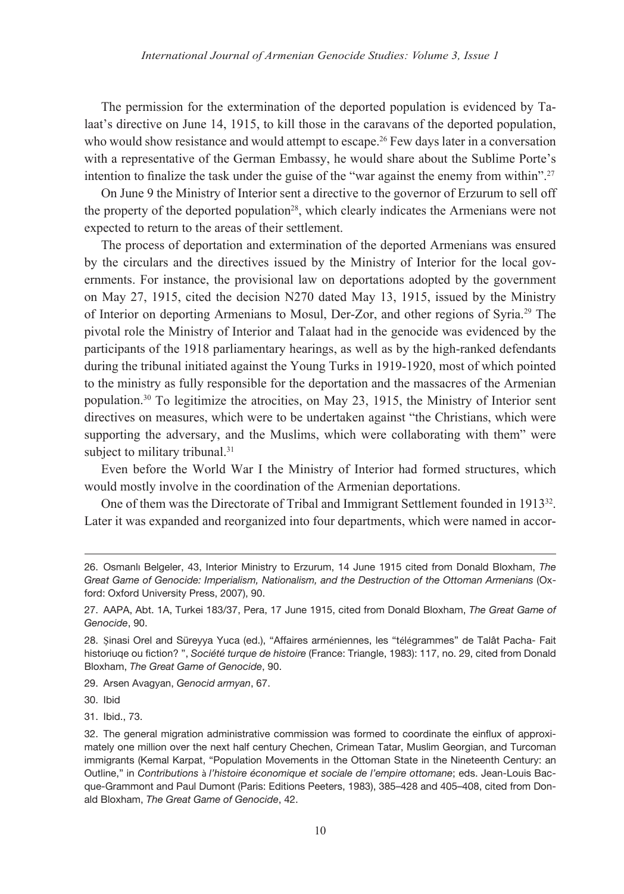The permission for the extermination of the deported population is evidenced by Talaat's directive on June 14, 1915, to kill those in the caravans of the deported population, who would show resistance and would attempt to escape.<sup>26</sup> Few days later in a conversation with a representative of the German Embassy, he would share about the Sublime Porte's intention to finalize the task under the guise of the "war against the enemy from within".<sup>27</sup>

On June 9 the Ministry of Interior sent a directive to the governor of Erzurum to sell off the property of the deported population<sup>28</sup>, which clearly indicates the Armenians were not expected to return to the areas of their settlement.

The process of deportation and extermination of the deported Armenians was ensured by the circulars and the directives issued by the Ministry of Interior for the local governments. For instance, the provisional law on deportations adopted by the government on May 27, 1915, cited the decision N270 dated May 13, 1915, issued by the Ministry of Interior on deporting Armenians to Mosul, Der-Zor, and other regions of Syria.29 The pivotal role the Ministry of Interior and Talaat had in the genocide was evidenced by the participants of the 1918 parliamentary hearings, as well as by the high-ranked defendants during the tribunal initiated against the Young Turks in 1919-1920, most of which pointed to the ministry as fully responsible for the deportation and the massacres of the Armenian population.30 To legitimize the atrocities, on May 23, 1915, the Ministry of Interior sent directives on measures, which were to be undertaken against "the Christians, which were supporting the adversary, and the Muslims, which were collaborating with them" were subject to military tribunal.<sup>31</sup>

Even before the World War I the Ministry of Interior had formed structures, which would mostly involve in the coordination of the Armenian deportations.

One of them was the Directorate of Tribal and Immigrant Settlement founded in 1913<sup>32</sup>. Later it was expanded and reorganized into four departments, which were named in accor-

29. Arsen Avagyan, *Genocid armyan*, 67.

30. Ibid

31. Ibid., 73.

<sup>26.</sup> Osmanlı Belgeler, 43, Interior Ministry to Erzurum, 14 June 1915 cited from Donald Bloxham, *The Great Game of Genocide: Imperialism, Nationalism, and the Destruction of the Ottoman Armenians* (Oxford: Oxford University Press, 2007), 90.

<sup>27.</sup> AAPA, Abt. 1A, Turkei 183/37, Pera, 17 June 1915, cited from Donald Bloxham, *The Great Game of Genocide*, 90.

<sup>28.</sup> Şinasi Orel and Süreyya Yuca (ed.), "Affaires arméniennes, les "télégrammes" de Talât Pacha- Fait historiuqe ou fiction? ", *Société turque de histoire* (France: Triangle, 1983): 117, no. 29, cited from Donald Bloxham, *The Great Game of Genocide*, 90.

<sup>32.</sup> The general migration administrative commission was formed to coordinate the einflux of approximately one million over the next half century Chechen, Crimean Tatar, Muslim Georgian, and Turcoman immigrants (Kemal Karpat, "Population Movements in the Ottoman State in the Nineteenth Century: an Outline," in *Contributions* à *l'histoire économique et sociale de l'empire ottomane*; eds. Jean-Louis Bacque-Grammont and Paul Dumont (Paris: Editions Peeters, 1983), 385–428 and 405–408, cited from Donald Bloxham, *The Great Game of Genocide*, 42.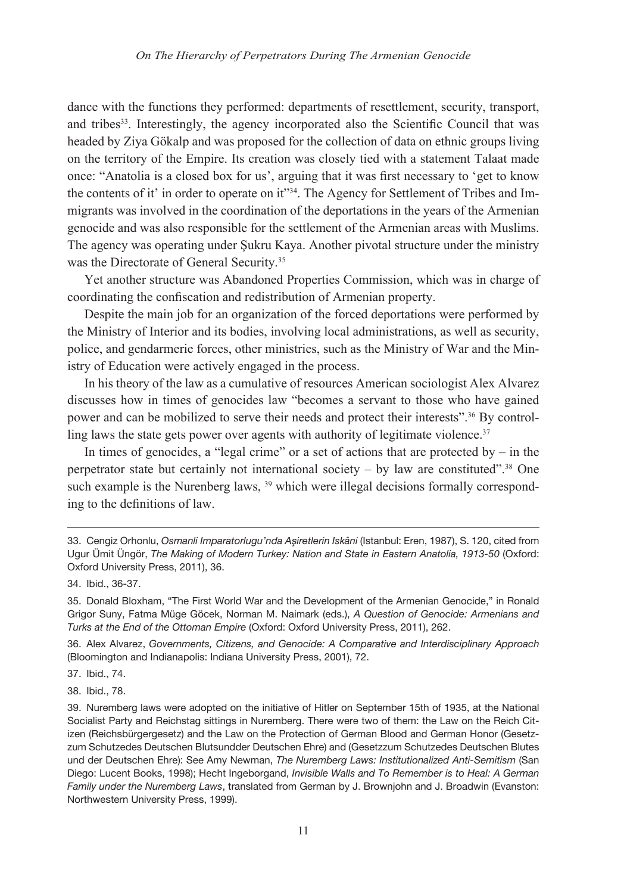dance with the functions they performed: departments of resettlement, security, transport, and tribes<sup>33</sup>. Interestingly, the agency incorporated also the Scientific Council that was headed by Ziya Gökalp and was proposed for the collection of data on ethnic groups living on the territory of the Empire. Its creation was closely tied with a statement Talaat made once: "Anatolia is a closed box for us', arguing that it was first necessary to 'get to know the contents of it' in order to operate on it"<sup>34</sup>. The Agency for Settlement of Tribes and Immigrants was involved in the coordination of the deportations in the years of the Armenian genocide and was also responsible for the settlement of the Armenian areas with Muslims. The agency was operating under Şukru Kaya. Another pivotal structure under the ministry was the Directorate of General Security.<sup>35</sup>

Yet another structure was Abandoned Properties Commission, which was in charge of coordinating the confiscation and redistribution of Armenian property.

Despite the main job for an organization of the forced deportations were performed by the Ministry of Interior and its bodies, involving local administrations, as well as security, police, and gendarmerie forces, other ministries, such as the Ministry of War and the Ministry of Education were actively engaged in the process.

In his theory of the law as a cumulative of resources American sociologist Alex Alvarez discusses how in times of genocides law "becomes a servant to those who have gained power and can be mobilized to serve their needs and protect their interests".36 By controlling laws the state gets power over agents with authority of legitimate violence.<sup>37</sup>

In times of genocides, a "legal crime" or a set of actions that are protected by  $-$  in the perpetrator state but certainly not international society – by law are constituted".<sup>38</sup> One such example is the Nurenberg laws, <sup>39</sup> which were illegal decisions formally corresponding to the definitions of law.

36. Alex Alvarez, *Governments, Citizens, and Genocide: A Comparative and Interdisciplinary Approach* (Bloomington and Indianapolis: Indiana University Press, 2001), 72.

37. Ibid., 74.

38. Ibid., 78.

<sup>33.</sup> Cengiz Orhonlu, *Osmanli Imparatorlugu'nda Aşiretlerin Iskâni* (Istanbul: Eren, 1987), S. 120, cited from Ugur Ümit Üngör, *The Making of Modern Turkey: Nation and State in Eastern Anatolia, 1913-50* (Oxford: Oxford University Press, 2011), 36.

<sup>34.</sup> Ibid., 36-37.

<sup>35.</sup> Donald Bloxham, "The First World War and the Development of the Armenian Genocide," in Ronald Grigor Suny, Fatma Müge Göcek, Norman M. Naimark (eds.), *A Question of Genocide: Armenians and Turks at the End of the Ottoman Empire* (Oxford: Oxford University Press, 2011), 262.

<sup>39.</sup> Nuremberg laws were adopted on the initiative of Hitler on September 15th of 1935, at the National Socialist Party and Reichstag sittings in Nuremberg. There were two of them: the Law on the Reich Citizen (Reichsbürgergesetz) and the Law on the Protection of German Blood and German Honor (Gesetzzum Schutzedes Deutschen Blutsundder Deutschen Ehre) and (Gesetzzum Schutzedes Deutschen Blutes und der Deutschen Ehre): See Amy Newman, *The Nuremberg Laws: Institutionalized Anti-Semitism* (San Diego: Lucent Books, 1998); Hecht Ingeborgand, *Invisible Walls and To Remember is to Heal: A German Family under the Nuremberg Laws*, translated from German by J. Brownjohn and J. Broadwin (Evanston: Northwestern University Press, 1999).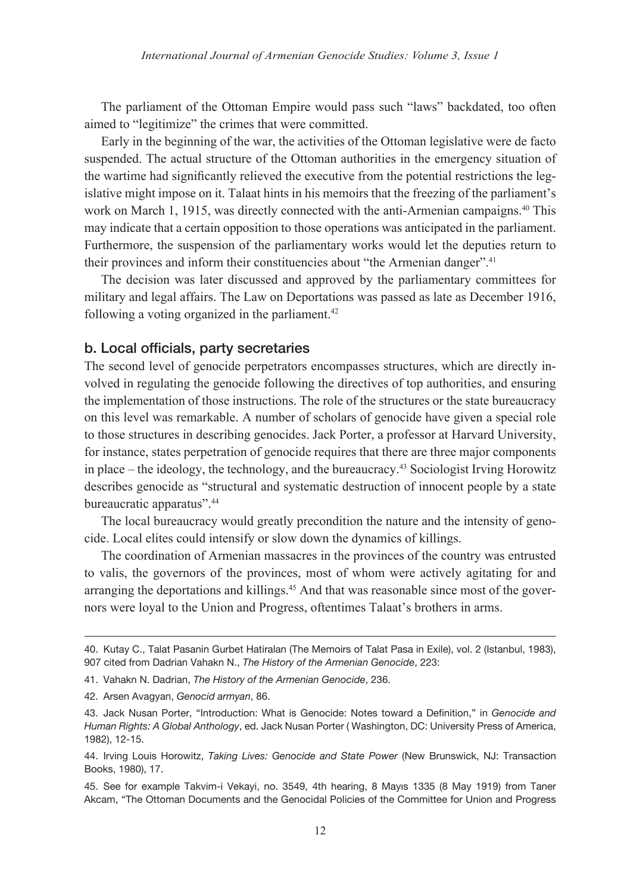The parliament of the Ottoman Empire would pass such "laws" backdated, too often aimed to "legitimize" the crimes that were committed.

Early in the beginning of the war, the activities of the Ottoman legislative were de facto suspended. The actual structure of the Ottoman authorities in the emergency situation of the wartime had significantly relieved the executive from the potential restrictions the legislative might impose on it. Talaat hints in his memoirs that the freezing of the parliament's work on March 1, 1915, was directly connected with the anti-Armenian campaigns.<sup>40</sup> This may indicate that a certain opposition to those operations was anticipated in the parliament. Furthermore, the suspension of the parliamentary works would let the deputies return to their provinces and inform their constituencies about "the Armenian danger".<sup>41</sup>

The decision was later discussed and approved by the parliamentary committees for military and legal affairs. The Law on Deportations was passed as late as December 1916, following a voting organized in the parliament. $42$ 

#### b. Local officials, party secretaries

The second level of genocide perpetrators encompasses structures, which are directly involved in regulating the genocide following the directives of top authorities, and ensuring the implementation of those instructions. The role of the structures or the state bureaucracy on this level was remarkable. A number of scholars of genocide have given a special role to those structures in describing genocides. Jack Porter, a professor at Harvard University, for instance, states perpetration of genocide requires that there are three major components in place – the ideology, the technology, and the bureaucracy.<sup>43</sup> Sociologist Irving Horowitz describes genocide as "structural and systematic destruction of innocent people by a state bureaucratic apparatus".44

The local bureaucracy would greatly precondition the nature and the intensity of genocide. Local elites could intensify or slow down the dynamics of killings.

The coordination of Armenian massacres in the provinces of the country was entrusted to valis, the governors of the provinces, most of whom were actively agitating for and arranging the deportations and killings.<sup>45</sup> And that was reasonable since most of the governors were loyal to the Union and Progress, oftentimes Talaat's brothers in arms.

<sup>40.</sup> Kutay C., Talat Pasanin Gurbet Hatiralan (The Memoirs of Talat Pasa in Exile), vol. 2 (Istanbul, 1983), 907 cited from Dadrian Vahakn N., *The History of the Armenian Genocide*, 223:

<sup>41.</sup> Vahakn N. Dadrian, *The History of the Armenian Genocide*, 236.

<sup>42.</sup> Arsen Avagyan, *Genocid armyan*, 86.

<sup>43.</sup> Jack Nusan Porter, "Introduction: What is Genocide: Notes toward a Definition," in *Genocide and Human Rights: A Global Anthology*, ed. Jack Nusan Porter ( Washington, DC: University Press of America, 1982), 12-15.

<sup>44.</sup> Irving Louis Horowitz, *Taking Lives: Genocide and State Power* (New Brunswick, NJ: Transaction Books, 1980), 17.

<sup>45.</sup> See for example Takvim-i Vekayi, no. 3549, 4th hearing, 8 Mayıs 1335 (8 May 1919) from Taner Akcam, "The Ottoman Documents and the Genocidal Policies of the Committee for Union and Progress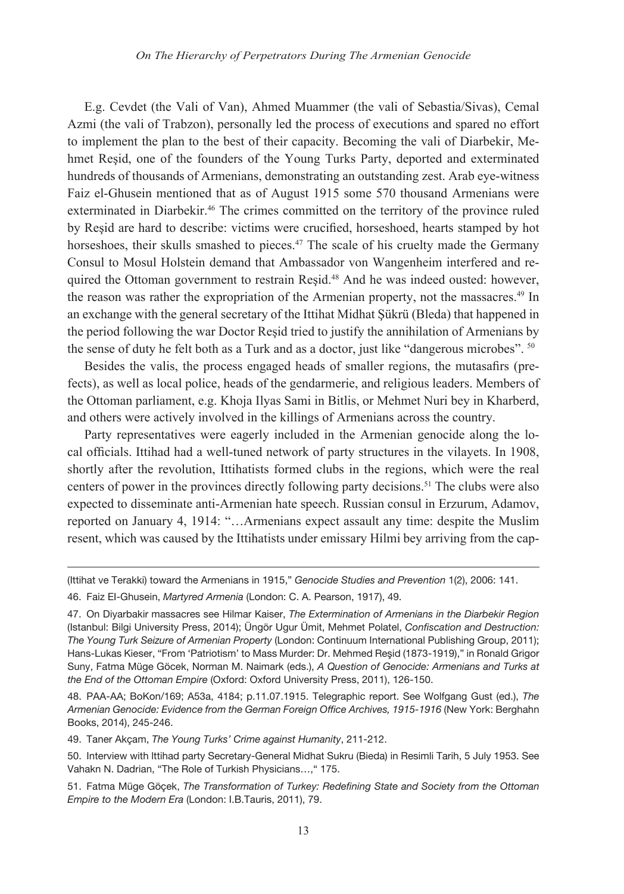E.g. Cevdet (the Vali of Van), Ahmed Muammer (the vali of Sebastia/Sivas), Cemal Azmi (the vali of Trabzon), personally led the process of executions and spared no effort to implement the plan to the best of their capacity. Becoming the vali of Diarbekir, Mehmet Reşid, one of the founders of the Young Turks Party, deported and exterminated hundreds of thousands of Armenians, demonstrating an outstanding zest. Arab eye-witness Faiz el-Ghusein mentioned that as of August 1915 some 570 thousand Armenians were exterminated in Diarbekir.46 The crimes committed on the territory of the province ruled by Reşid are hard to describe: victims were crucified, horseshoed, hearts stamped by hot horseshoes, their skulls smashed to pieces.<sup>47</sup> The scale of his cruelty made the Germany Consul to Mosul Holstein demand that Ambassador von Wangenheim interfered and required the Ottoman government to restrain Reșid.<sup>48</sup> And he was indeed ousted: however, the reason was rather the expropriation of the Armenian property, not the massacres.<sup>49</sup> In an exchange with the general secretary of the Ittihat Midhat Şükrü (Bleda) that happened in the period following the war Doctor Reşid tried to justify the annihilation of Armenians by the sense of duty he felt both as a Turk and as a doctor, just like "dangerous microbes". <sup>50</sup>

Besides the valis, the process engaged heads of smaller regions, the mutasafirs (prefects), as well as local police, heads of the gendarmerie, and religious leaders. Members of the Ottoman parliament, e.g. Khoja Ilyas Sami in Bitlis, or Mehmet Nuri bey in Kharberd, and others were actively involved in the killings of Armenians across the country.

Party representatives were eagerly included in the Armenian genocide along the local officials. Ittihad had a well-tuned network of party structures in the vilayets. In 1908, shortly after the revolution, Ittihatists formed clubs in the regions, which were the real centers of power in the provinces directly following party decisions.<sup>51</sup> The clubs were also expected to disseminate anti-Armenian hate speech. Russian consul in Erzurum, Adamov, reported on January 4, 1914: "…Armenians expect assault any time: despite the Muslim resent, which was caused by the Ittihatists under emissary Hilmi bey arriving from the cap-

49. Taner Akçam, *The Young Turks' Crime against Humanity*, 211-212.

<sup>(</sup>Ittihat ve Terakki) toward the Armenians in 1915," *Genocide Studies and Prevention* 1(2), 2006: 141.

<sup>46.</sup> Faiz EI-Ghusein, *Martyred Armenia* (London: C. A. Pearson, 1917), 49.

<sup>47.</sup> On Diyarbakir massacres see Hilmar Kaiser, *The Extermination of Armenians in the Diarbekir Region* (Istanbul: Bilgi University Press, 2014); Üngör Ugur Ümit, Mehmet Polatel, *Confiscation and Destruction: The Young Turk Seizure of Armenian Property* (London: Continuum International Publishing Group, 2011); Hans-Lukas Kieser, "From 'Patriotism' to Mass Murder: Dr. Mehmed Reşid (1873-1919)," in Ronald Grigor Suny, Fatma Müge Göcek, Norman M. Naimark (eds.), *A Question of Genocide: Armenians and Turks at the End of the Ottoman Empire* (Oxford: Oxford University Press, 2011), 126-150.

<sup>48.</sup> PAA-AA; BoKon/169; A53a, 4184; p.11.07.1915. Telegraphic report. See Wolfgang Gust (ed.), *The*  Armenian Genocide: Evidence from the German Foreign Office Archives, 1915-1916 (New York: Berghahn Books, 2014), 245-246.

<sup>50.</sup> Interview with lttihad party Secretary-General Midhat Sukru (Bieda) in Resimli Tarih, 5 July 1953. See Vahakn N. Dadrian, "The Role of Turkish Physicians…," 175.

<sup>51.</sup> Fatma Müge Göçek, *The Transformation of Turkey: Redefining State and Society from the Ottoman Empire to the Modern Era* (London: I.B.Tauris, 2011), 79.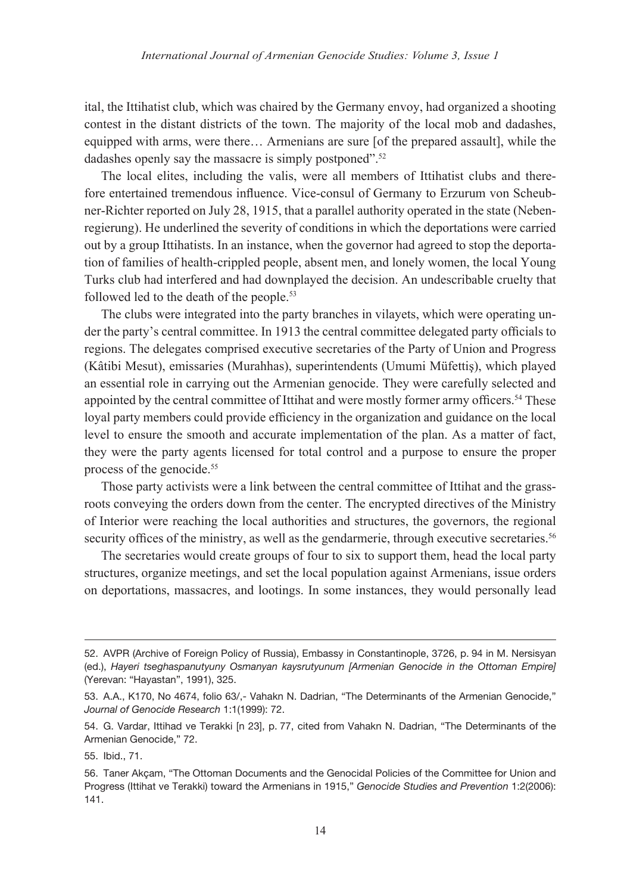ital, the Ittihatist club, which was chaired by the Germany envoy, had organized a shooting contest in the distant districts of the town. The majority of the local mob and dadashes, equipped with arms, were there… Armenians are sure [of the prepared assault], while the dadashes openly say the massacre is simply postponed".<sup>52</sup>

The local elites, including the valis, were all members of Ittihatist clubs and therefore entertained tremendous influence. Vice-consul of Germany to Erzurum von Scheubner-Richter reported on July 28, 1915, that a parallel authority operated in the state (Nebenregierung). He underlined the severity of conditions in which the deportations were carried out by a group Ittihatists. In an instance, when the governor had agreed to stop the deportation of families of health-crippled people, absent men, and lonely women, the local Young Turks club had interfered and had downplayed the decision. An undescribable cruelty that followed led to the death of the people.53

The clubs were integrated into the party branches in vilayets, which were operating under the party's central committee. In 1913 the central committee delegated party officials to regions. The delegates comprised executive secretaries of the Party of Union and Progress (Kâtibi Mesut), emissaries (Murahhas), superintendents (Umumi Müfettiş), which played an essential role in carrying out the Armenian genocide. They were carefully selected and appointed by the central committee of Ittihat and were mostly former army officers.<sup>54</sup> These loyal party members could provide efficiency in the organization and guidance on the local level to ensure the smooth and accurate implementation of the plan. As a matter of fact, they were the party agents licensed for total control and a purpose to ensure the proper process of the genocide.<sup>55</sup>

Those party activists were a link between the central committee of Ittihat and the grassroots conveying the orders down from the center. The encrypted directives of the Ministry of Interior were reaching the local authorities and structures, the governors, the regional security offices of the ministry, as well as the gendarmerie, through executive secretaries.<sup>56</sup>

The secretaries would create groups of four to six to support them, head the local party structures, organize meetings, and set the local population against Armenians, issue orders on deportations, massacres, and lootings. In some instances, they would personally lead

<sup>52.</sup> AVPR (Archive of Foreign Policy of Russia), Embassy in Constantinople, 3726, p. 94 in M. Nersisyan (ed.), *Hayeri tseghaspanutyuny Osmanyan kaysrutyunum [Armenian Genocide in the Ottoman Empire]* (Yerevan: "Hayastan", 1991), 325.

<sup>53.</sup> A.A., K170, No 4674, folio 63/,- Vahakn N. Dadrian, "The Determinants of the Armenian Genocide," *Journal of Genocide Research* 1:1(1999): 72.

<sup>54.</sup> G. Vardar, Ittihad ve Terakki [n 23], p. 77, cited from Vahakn N. Dadrian, "The Determinants of the Armenian Genocide," 72.

<sup>55.</sup> Ibid., 71.

<sup>56.</sup> Taner Akçam, "The Ottoman Documents and the Genocidal Policies of the Committee for Union and Progress (Ittihat ve Terakki) toward the Armenians in 1915," *Genocide Studies and Prevention* 1:2(2006): 141.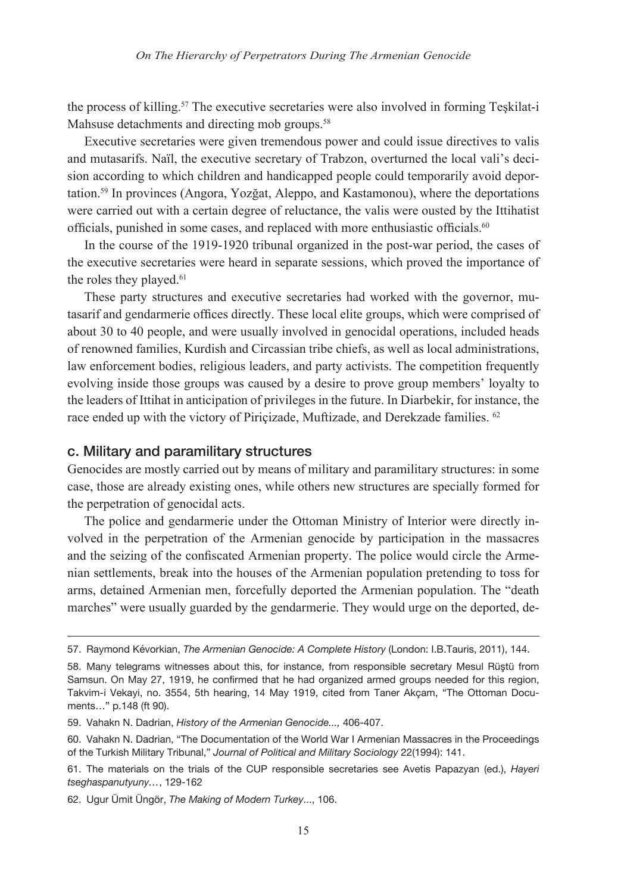the process of killing.57 The executive secretaries were also involved in forming Teşkilat-i Mahsuse detachments and directing mob groups.<sup>58</sup>

Executive secretaries were given tremendous power and could issue directives to valis and mutasarifs. Naïl, the executive secretary of Trabzon, overturned the local vali's decision according to which children and handicapped people could temporarily avoid deportation.59 In provinces (Angora, Yozğat, Aleppo, and Kastamonou), where the deportations were carried out with a certain degree of reluctance, the valis were ousted by the Ittihatist officials, punished in some cases, and replaced with more enthusiastic officials.<sup>60</sup>

In the course of the 1919-1920 tribunal organized in the post-war period, the cases of the executive secretaries were heard in separate sessions, which proved the importance of the roles they played.<sup>61</sup>

These party structures and executive secretaries had worked with the governor, mutasarif and gendarmerie offices directly. These local elite groups, which were comprised of about 30 to 40 people, and were usually involved in genocidal operations, included heads of renowned families, Kurdish and Circassian tribe chiefs, as well as local administrations, law enforcement bodies, religious leaders, and party activists. The competition frequently evolving inside those groups was caused by a desire to prove group members' loyalty to the leaders of Ittihat in anticipation of privileges in the future. In Diarbekir, for instance, the race ended up with the victory of Piriçizade, Muftizade, and Derekzade families. <sup>62</sup>

#### c. Military and paramilitary structures

Genocides are mostly carried out by means of military and paramilitary structures: in some case, those are already existing ones, while others new structures are specially formed for the perpetration of genocidal acts.

The police and gendarmerie under the Ottoman Ministry of Interior were directly involved in the perpetration of the Armenian genocide by participation in the massacres and the seizing of the confiscated Armenian property. The police would circle the Armenian settlements, break into the houses of the Armenian population pretending to toss for arms, detained Armenian men, forcefully deported the Armenian population. The "death marches" were usually guarded by the gendarmerie. They would urge on the deported, de-

<sup>57.</sup> Raymond Kévorkian, *The Armenian Genocide: A Complete History* (London: I.B.Tauris, 2011), 144.

<sup>58.</sup> Many telegrams witnesses about this, for instance, from responsible secretary Mesul Rüştü from Samsun. On May 27, 1919, he confirmed that he had organized armed groups needed for this region, Takvim-i Vekayi, no. 3554, 5th hearing, 14 May 1919, cited from Taner Akçam, "The Ottoman Documents…" p.148 (ft 90).

<sup>59.</sup> Vahakn N. Dadrian, *History of the Armenian Genocide...,* 406-407.

<sup>60.</sup> Vahakn N. Dadrian, "The Documentation of the World War I Armenian Massacres in the Proceedings of the Turkish Military Tribunal," *Journal of Political and Military Sociology* 22(1994): 141.

<sup>61.</sup> The materials on the trials of the CUP responsible secretaries see Avetis Papazyan (ed.), *Hayeri tseghaspanutyuny…*, 129-162

<sup>62.</sup> Ugur Ümit Üngör, *The Making of Modern Turkey*..., 106.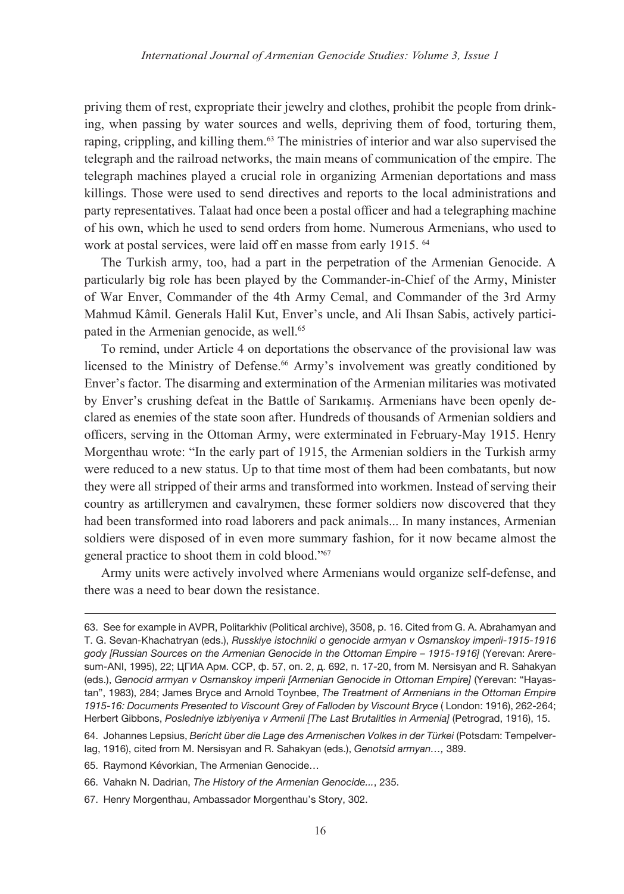priving them of rest, expropriate their jewelry and clothes, prohibit the people from drinking, when passing by water sources and wells, depriving them of food, torturing them, raping, crippling, and killing them.63 The ministries of interior and war also supervised the telegraph and the railroad networks, the main means of communication of the empire. The telegraph machines played a crucial role in organizing Armenian deportations and mass killings. Those were used to send directives and reports to the local administrations and party representatives. Talaat had once been a postal officer and had a telegraphing machine of his own, which he used to send orders from home. Numerous Armenians, who used to work at postal services, were laid off en masse from early 1915. <sup>64</sup>

The Turkish army, too, had a part in the perpetration of the Armenian Genocide. A particularly big role has been played by the Commander-in-Chief of the Army, Minister of War Enver, Commander of the 4th Army Cemal, and Commander of the 3rd Army Mahmud Kâmil. Generals Halil Kut, Enver's uncle, and Ali Ihsan Sabis, actively participated in the Armenian genocide, as well.<sup>65</sup>

To remind, under Article 4 on deportations the observance of the provisional law was licensed to the Ministry of Defense.<sup>66</sup> Army's involvement was greatly conditioned by Enver's factor. The disarming and extermination of the Armenian militaries was motivated by Enver's crushing defeat in the Battle of Sarıkamış. Armenians have been openly declared as enemies of the state soon after. Hundreds of thousands of Armenian soldiers and officers, serving in the Ottoman Army, were exterminated in February-May 1915. Henry Morgenthau wrote: "In the early part of 1915, the Armenian soldiers in the Turkish army were reduced to a new status. Up to that time most of them had been combatants, but now they were all stripped of their arms and transformed into workmen. Instead of serving their country as artillerymen and cavalrymen, these former soldiers now discovered that they had been transformed into road laborers and pack animals... In many instances, Armenian soldiers were disposed of in even more summary fashion, for it now became almost the general practice to shoot them in cold blood."67

Army units were actively involved where Armenians would organize self-defense, and there was a need to bear down the resistance.

67. Henry Morgenthau, Ambassador Morgenthau's Story, 302.

<sup>63.</sup> See for example in AVPR, Politarkhiv (Political archive), 3508, p. 16. Cited from G. A. Abrahamyan and T. G. Sevan-Khachatryan (eds.), *Russkiye istochniki o genocide armyan v Osmanskoy imperii-1915-1916 gody [Russian Sources on the Armenian Genocide in the Ottoman Empire – 1915-1916]* (Yerevan: Areresum-ANI, 1995), 22; ЦГИА Арм. ССР, ф. 57, оп. 2, д. 692, п. 17-20, from M. Nersisyan and R. Sahakyan (eds.), *Genocid armyan v Osmanskoy imperii [Armenian Genocide in Ottoman Empire]* (Yerevan: "Hayastan", 1983), 284; James Bryce and Arnold Toynbee, *The Treatment of Armenians in the Ottoman Empire 1915-16: Documents Presented to Viscount Grey of Falloden by Viscount Bryce* ( London: 1916), 262-264; Herbert Gibbons, *Posledniye izbiyeniya v Armenii [The Last Brutalities in Armenia]* (Petrograd, 1916), 15.

<sup>64.</sup> Johannes Lepsius, *Bericht über die Lage des Armenischen Volkes in der Türkei* (Potsdam: Tempelverlag, 1916), cited from M. Nersisyan and R. Sahakyan (eds.), *Genotsid armyan…,* 389.

<sup>65.</sup> Raymond Kévorkian, The Armenian Genocide…

<sup>66.</sup> Vahakn N. Dadrian, *The History of the Armenian Genocide...*, 235.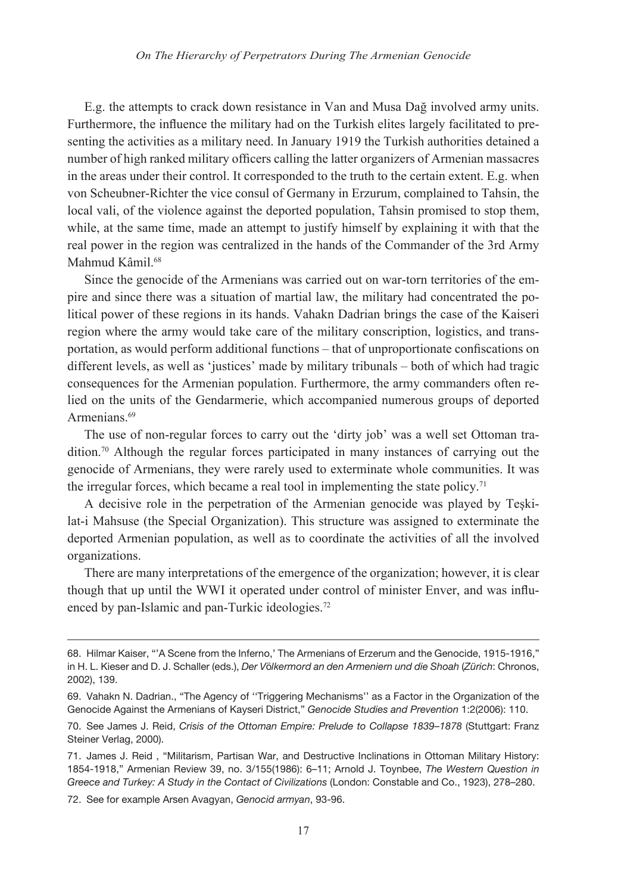E.g. the attempts to crack down resistance in Van and Musa Dağ involved army units. Furthermore, the influence the military had on the Turkish elites largely facilitated to presenting the activities as a military need. In January 1919 the Turkish authorities detained a number of high ranked military officers calling the latter organizers of Armenian massacres in the areas under their control. It corresponded to the truth to the certain extent. E.g. when von Scheubner-Richter the vice consul of Germany in Erzurum, complained to Tahsin, the local vali, of the violence against the deported population, Tahsin promised to stop them, while, at the same time, made an attempt to justify himself by explaining it with that the real power in the region was centralized in the hands of the Commander of the 3rd Army Mahmud Kâmil<sup>68</sup>

Since the genocide of the Armenians was carried out on war-torn territories of the empire and since there was a situation of martial law, the military had concentrated the political power of these regions in its hands. Vahakn Dadrian brings the case of the Kaiseri region where the army would take care of the military conscription, logistics, and transportation, as would perform additional functions – that of unproportionate confiscations on different levels, as well as 'justices' made by military tribunals – both of which had tragic consequences for the Armenian population. Furthermore, the army commanders often relied on the units of the Gendarmerie, which accompanied numerous groups of deported Armenians.<sup>69</sup>

The use of non-regular forces to carry out the 'dirty job' was a well set Ottoman tradition.<sup>70</sup> Although the regular forces participated in many instances of carrying out the genocide of Armenians, they were rarely used to exterminate whole communities. It was the irregular forces, which became a real tool in implementing the state policy.<sup>71</sup>

A decisive role in the perpetration of the Armenian genocide was played by Teşkilat-i Mahsuse (the Special Organization). This structure was assigned to exterminate the deported Armenian population, as well as to coordinate the activities of all the involved organizations.

There are many interpretations of the emergence of the organization; however, it is clear though that up until the WWI it operated under control of minister Enver, and was influenced by pan-Islamic and pan-Turkic ideologies.<sup>72</sup>

<sup>68.</sup> Hilmar Kaiser, "'A Scene from the Inferno,' The Armenians of Erzerum and the Genocide, 1915-1916," in H. L. Kieser and D. J. Schaller (eds.), *Der V*ö*lkermord an den Armeniern und die Shoah* (*Zürich*: Chronos, 2002), 139.

<sup>69.</sup> Vahakn N. Dadrian., "The Agency of ''Triggering Mechanisms'' as a Factor in the Organization of the Genocide Against the Armenians of Kayseri District," *Genocide Studies and Prevention* 1:2(2006): 110.

<sup>70.</sup> See James J. Reid, *Crisis of the Ottoman Empire: Prelude to Collapse 1839–1878* (Stuttgart: Franz Steiner Verlag, 2000).

<sup>71.</sup> James J. Reid , "Militarism, Partisan War, and Destructive Inclinations in Ottoman Military History: 1854-1918," Armenian Review 39, no. 3/155(1986): 6–11; Arnold J. Toynbee, *The Western Question in Greece and Turkey: A Study in the Contact of Civilizations* (London: Constable and Co., 1923), 278–280.

<sup>72.</sup> See for example Arsen Avagyan, *Genocid armyan*, 93-96.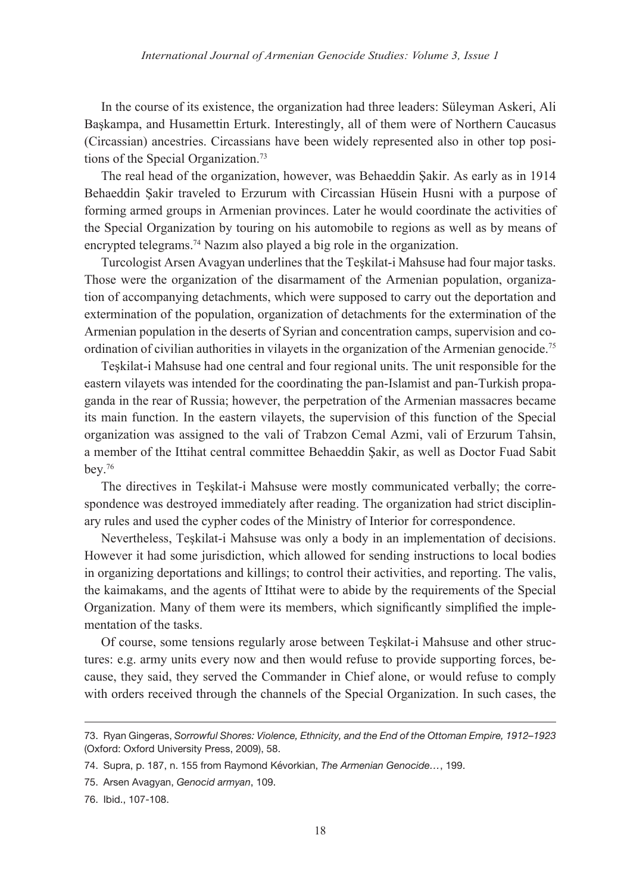In the course of its existence, the organization had three leaders: Süleyman Askeri, Ali Başkampa, and Husamettin Erturk. Interestingly, all of them were of Northern Caucasus (Circassian) ancestries. Circassians have been widely represented also in other top positions of the Special Organization.73

The real head of the organization, however, was Behaeddin Şakir. As early as in 1914 Behaeddin Şakir traveled to Erzurum with Circassian Hüsein Husni with a purpose of forming armed groups in Armenian provinces. Later he would coordinate the activities of the Special Organization by touring on his automobile to regions as well as by means of encrypted telegrams.<sup>74</sup> Nazim also played a big role in the organization.

Turcologist Arsen Avagyan underlines that the Teşkilat-i Mahsuse had four major tasks. Those were the organization of the disarmament of the Armenian population, organization of accompanying detachments, which were supposed to carry out the deportation and extermination of the population, organization of detachments for the extermination of the Armenian population in the deserts of Syrian and concentration camps, supervision and coordination of civilian authorities in vilayets in the organization of the Armenian genocide.<sup>75</sup>

Teşkilat-i Mahsuse had one central and four regional units. The unit responsible for the eastern vilayets was intended for the coordinating the pan-Islamist and pan-Turkish propaganda in the rear of Russia; however, the perpetration of the Armenian massacres became its main function. In the eastern vilayets, the supervision of this function of the Special organization was assigned to the vali of Trabzon Cemal Azmi, vali of Erzurum Tahsin, a member of the Ittihat central committee Behaeddin Şakir, as well as Doctor Fuad Sabit bey.76

The directives in Teşkilat-i Mahsuse were mostly communicated verbally; the correspondence was destroyed immediately after reading. The organization had strict disciplinary rules and used the cypher codes of the Ministry of Interior for correspondence.

Nevertheless, Teşkilat-i Mahsuse was only a body in an implementation of decisions. However it had some jurisdiction, which allowed for sending instructions to local bodies in organizing deportations and killings; to control their activities, and reporting. The valis, the kaimakams, and the agents of Ittihat were to abide by the requirements of the Special Organization. Many of them were its members, which significantly simplified the implementation of the tasks.

Of course, some tensions regularly arose between Teşkilat-i Mahsuse and other structures: e.g. army units every now and then would refuse to provide supporting forces, because, they said, they served the Commander in Chief alone, or would refuse to comply with orders received through the channels of the Special Organization. In such cases, the

<sup>73.</sup> Ryan Gingeras, *Sorrowful Shores: Violence, Ethnicity, and the End of the Ottoman Empire, 1912–1923*  (Oxford: Oxford University Press, 2009), 58.

<sup>74.</sup> Supra, p. 187, n. 155 from Raymond Kévorkian, *The Armenian Genocide…*, 199.

<sup>75.</sup> Arsen Avagyan, *Genocid armyan*, 109.

<sup>76.</sup> Ibid., 107-108.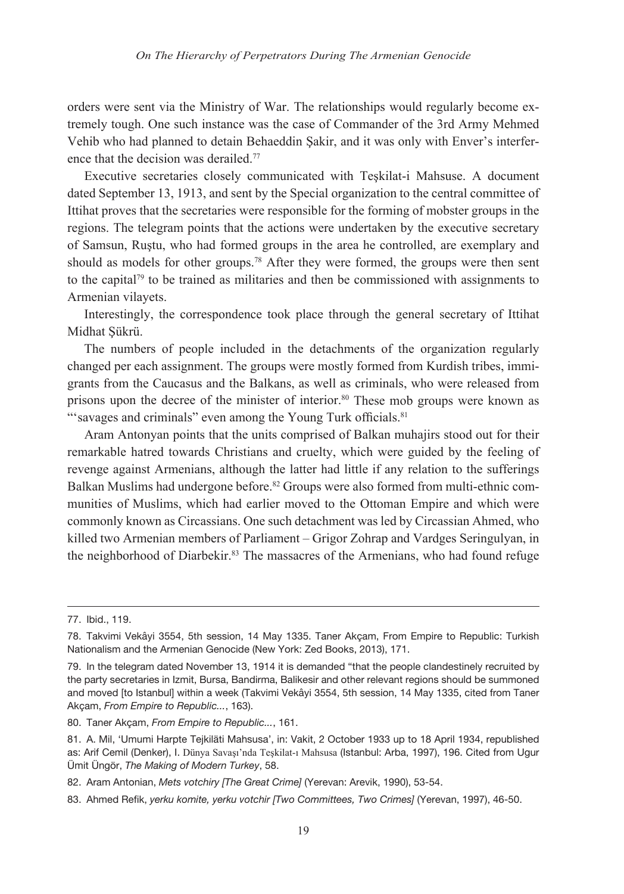orders were sent via the Ministry of War. The relationships would regularly become extremely tough. One such instance was the case of Commander of the 3rd Army Mehmed Vehib who had planned to detain Behaeddin Şakir, and it was only with Enver's interference that the decision was derailed.77

Executive secretaries closely communicated with Teşkilat-i Mahsuse. A document dated September 13, 1913, and sent by the Special organization to the central committee of Ittihat proves that the secretaries were responsible for the forming of mobster groups in the regions. The telegram points that the actions were undertaken by the executive secretary of Samsun, Ruştu, who had formed groups in the area he controlled, are exemplary and should as models for other groups.78 After they were formed, the groups were then sent to the capital79 to be trained as militaries and then be commissioned with assignments to Armenian vilayets.

Interestingly, the correspondence took place through the general secretary of Ittihat Midhat Şükrü.

The numbers of people included in the detachments of the organization regularly changed per each assignment. The groups were mostly formed from Kurdish tribes, immigrants from the Caucasus and the Balkans, as well as criminals, who were released from prisons upon the decree of the minister of interior.<sup>80</sup> These mob groups were known as "'savages and criminals" even among the Young Turk officials.<sup>81</sup>

Aram Antonyan points that the units comprised of Balkan muhajirs stood out for their remarkable hatred towards Christians and cruelty, which were guided by the feeling of revenge against Armenians, although the latter had little if any relation to the sufferings Balkan Muslims had undergone before.<sup>82</sup> Groups were also formed from multi-ethnic communities of Muslims, which had earlier moved to the Ottoman Empire and which were commonly known as Circassians. One such detachment was led by Circassian Ahmed, who killed two Armenian members of Parliament – Grigor Zohrap and Vardges Seringulyan, in the neighborhood of Diarbekir.<sup>83</sup> The massacres of the Armenians, who had found refuge

<sup>77.</sup> Ibid., 119.

<sup>78.</sup> Takvimi Vekâyi 3554, 5th session, 14 May 1335. Taner Akçam, From Empire to Republic: Turkish Nationalism and the Armenian Genocide (New York: Zed Books, 2013), 171.

<sup>79.</sup> In the telegram dated November 13, 1914 it is demanded "that the people clandestinely recruited by the party secretaries in Izmit, Bursa, Bandirma, Balikesir and other relevant regions should be summoned and moved [to Istanbul] within a week (Takvimi Vekâyi 3554, 5th session, 14 May 1335, cited from Taner Akçam, *From Empire to Republic...*, 163).

<sup>80.</sup> Taner Akçam, *From Empire to Republic...*, 161.

<sup>81.</sup> A. Mil, 'Umumi Harpte Tejkiläti Mahsusa', in: Vakit, 2 October 1933 up to 18 April 1934, republished as: Arif Cemil (Denker), I. Dünya Savaşı'nda Teşkilat-ı Mahsusa (Istanbul: Arba, 1997), 196. Cited from Ugur Ümit Üngör, *The Making of Modern Turkey*, 58.

<sup>82.</sup> Aram Antonian, *Mets votchiry [The Great Crime]* (Yerevan: Arevik, 1990), 53-54.

<sup>83.</sup> Ahmed Refik, *yerku komite, yerku votchir [Two Committees, Two Crimes]* (Yerevan, 1997), 46-50.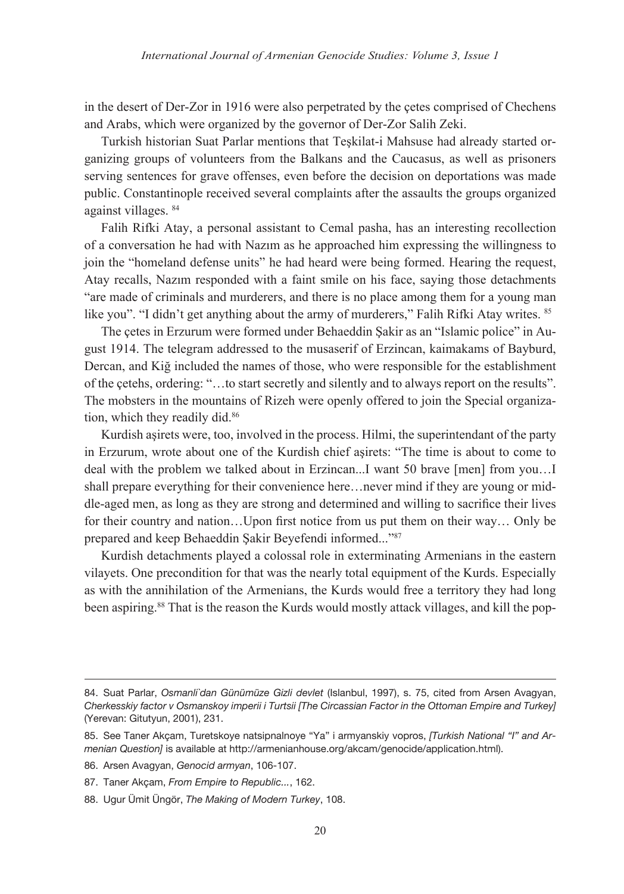in the desert of Der-Zor in 1916 were also perpetrated by the çetes comprised of Chechens and Arabs, which were organized by the governor of Der-Zor Salih Zeki.

Turkish historian Suat Parlar mentions that Teşkilat-i Mahsuse had already started organizing groups of volunteers from the Balkans and the Caucasus, as well as prisoners serving sentences for grave offenses, even before the decision on deportations was made public. Constantinople received several complaints after the assaults the groups organized against villages. 84

Falih Rifki Atay, a personal assistant to Cemal pasha, has an interesting recollection of a conversation he had with Nazım as he approached him expressing the willingness to join the "homeland defense units" he had heard were being formed. Hearing the request, Atay recalls, Nazım responded with a faint smile on his face, saying those detachments "are made of criminals and murderers, and there is no place among them for a young man like you". "I didn't get anything about the army of murderers," Falih Rifki Atay writes. <sup>85</sup>

The çetes in Erzurum were formed under Behaeddin Şakir as an "Islamic police" in August 1914. The telegram addressed to the musaserif of Erzincan, kaimakams of Bayburd, Dercan, and Kiğ included the names of those, who were responsible for the establishment of the çetehs, ordering: "…to start secretly and silently and to always report on the results". The mobsters in the mountains of Rizeh were openly offered to join the Special organization, which they readily did.<sup>86</sup>

Kurdish aşirets were, too, involved in the process. Hilmi, the superintendant of the party in Erzurum, wrote about one of the Kurdish chief aşirets: "The time is about to come to deal with the problem we talked about in Erzincan...I want 50 brave [men] from you…I shall prepare everything for their convenience here…never mind if they are young or middle-aged men, as long as they are strong and determined and willing to sacrifice their lives for their country and nation…Upon first notice from us put them on their way… Only be prepared and keep Behaeddin Şakir Beyefendi informed..."<sup>87</sup>

Kurdish detachments played a colossal role in exterminating Armenians in the eastern vilayets. One precondition for that was the nearly total equipment of the Kurds. Especially as with the annihilation of the Armenians, the Kurds would free a territory they had long been aspiring.<sup>88</sup> That is the reason the Kurds would mostly attack villages, and kill the pop-

<sup>84.</sup> Suat Parlar, *Osmanli`dan Günümüze Gizli devlet* (Islanbul, 1997), s. 75, cited from Arsen Avagyan, *Cherkesskiy factor v Osmanskoy imperii i Turtsii [The Circassian Factor in the Ottoman Empire and Turkey]* (Yerevan: Gitutyun, 2001), 231.

<sup>85.</sup> See Taner Akçam, Turetskoye natsipnalnoye "Ya" i armyanskiy vopros, *[Turkish National "I" and Armenian Question]* is available at http://armenianhouse.org/akcam/genocide/application.html).

<sup>86.</sup> Arsen Avagyan, *Genocid armyan*, 106-107.

<sup>87.</sup> Taner Akçam, *From Empire to Republic...*, 162.

<sup>88.</sup> Ugur Ümit Üngör, *The Making of Modern Turkey*, 108.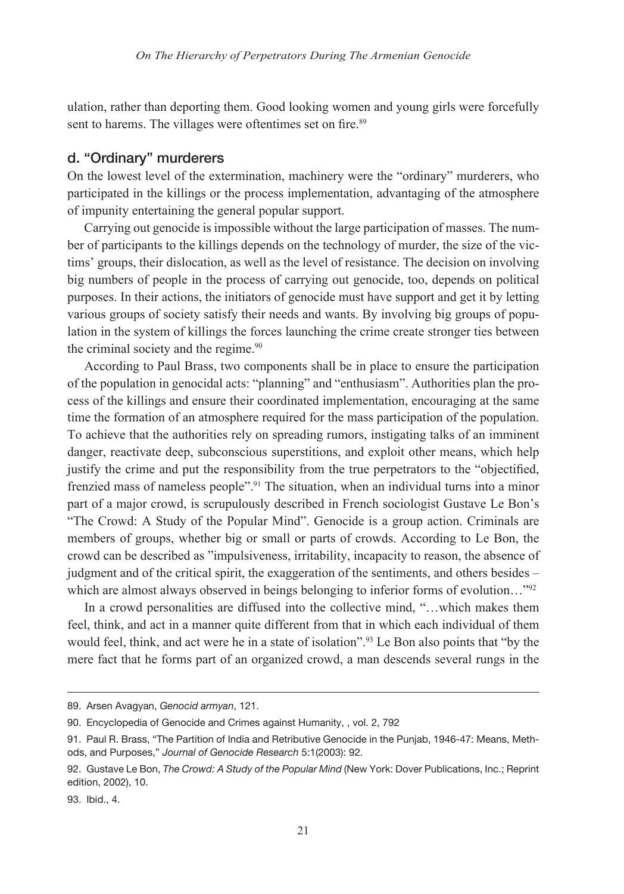ulation, rather than deporting them. Good looking women and young girls were forcefully sent to harems. The villages were oftentimes set on fire.<sup>89</sup>

### d. "Ordinary" murderers

On the lowest level of the extermination, machinery were the "ordinary" murderers, who participated in the killings or the process implementation, advantaging of the atmosphere of impunity entertaining the general popular support.

Carrying out genocide is impossible without the large participation of masses. The number of participants to the killings depends on the technology of murder, the size of the victims' groups, their dislocation, as well as the level of resistance. The decision on involving big numbers of people in the process of carrying out genocide, too, depends on political purposes. In their actions, the initiators of genocide must have support and get it by letting various groups of society satisfy their needs and wants. By involving big groups of population in the system of killings the forces launching the crime create stronger ties between the criminal society and the regime.<sup>90</sup>

According to Paul Brass, two components shall be in place to ensure the participation of the population in genocidal acts: "planning" and "enthusiasm". Authorities plan the process of the killings and ensure their coordinated implementation, encouraging at the same time the formation of an atmosphere required for the mass participation of the population. To achieve that the authorities rely on spreading rumors, instigating talks of an imminent danger, reactivate deep, subconscious superstitions, and exploit other means, which help justify the crime and put the responsibility from the true perpetrators to the "objectified, frenzied mass of nameless people".91 The situation, when an individual turns into a minor part of a major crowd, is scrupulously described in French sociologist Gustave Le Bon's "The Crowd: A Study of the Popular Mind". Genocide is a group action. Criminals are members of groups, whether big or small or parts of crowds. According to Le Bon, the crowd can be described as "impulsiveness, irritability, incapacity to reason, the absence of judgment and of the critical spirit, the exaggeration of the sentiments, and others besides – which are almost always observed in beings belonging to inferior forms of evolution..."<sup>92</sup>

In a crowd personalities are diffused into the collective mind, "…which makes them feel, think, and act in a manner quite different from that in which each individual of them would feel, think, and act were he in a state of isolation".93 Le Bon also points that "by the mere fact that he forms part of an organized crowd, a man descends several rungs in the

<sup>89.</sup> Arsen Avagyan, *Genocid armyan*, 121.

<sup>90.</sup> Encyclopedia of Genocide and Crimes against Humanity, , vol. 2, 792

<sup>91.</sup> Paul R. Brass, "The Partition of India and Retributive Genocide in the Punjab, 1946-47: Means, Methods, and Purposes," *Journal of Genocide Research* 5:1(2003): 92.

<sup>92.</sup> Gustave Le Bon, *The Crowd: A Study of the Popular Mind* (New York: Dover Publications, Inc.; Reprint edition, 2002), 10.

<sup>93.</sup> Ibid., 4.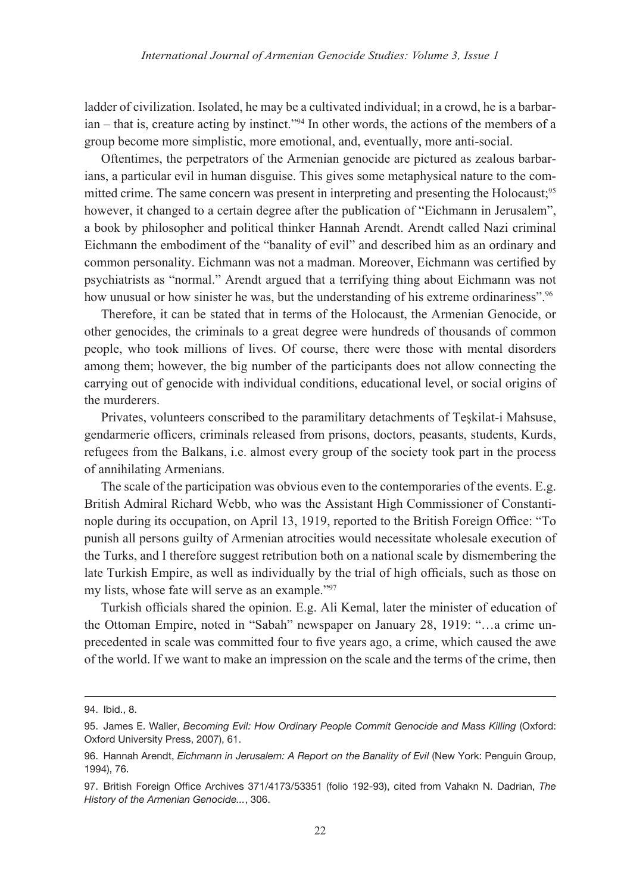ladder of civilization. Isolated, he may be a cultivated individual; in a crowd, he is a barbarian – that is, creature acting by instinct."94 In other words, the actions of the members of a group become more simplistic, more emotional, and, eventually, more anti-social.

Oftentimes, the perpetrators of the Armenian genocide are pictured as zealous barbarians, a particular evil in human disguise. This gives some metaphysical nature to the committed crime. The same concern was present in interpreting and presenting the Holocaust:<sup>95</sup> however, it changed to a certain degree after the publication of "Eichmann in Jerusalem", a book by philosopher and political thinker Hannah Arendt. Arendt called Nazi criminal Eichmann the embodiment of the "banality of evil" and described him as an ordinary and common personality. Eichmann was not a madman. Moreover, Eichmann was certified by psychiatrists as "normal." Arendt argued that a terrifying thing about Eichmann was not how unusual or how sinister he was, but the understanding of his extreme ordinariness".<sup>96</sup>

Therefore, it can be stated that in terms of the Holocaust, the Armenian Genocide, or other genocides, the criminals to a great degree were hundreds of thousands of common people, who took millions of lives. Of course, there were those with mental disorders among them; however, the big number of the participants does not allow connecting the carrying out of genocide with individual conditions, educational level, or social origins of the murderers.

Privates, volunteers conscribed to the paramilitary detachments of Teşkilat-i Mahsuse, gendarmerie officers, criminals released from prisons, doctors, peasants, students, Kurds, refugees from the Balkans, i.e. almost every group of the society took part in the process of annihilating Armenians.

The scale of the participation was obvious even to the contemporaries of the events. E.g. British Admiral Richard Webb, who was the Assistant High Commissioner of Constantinople during its occupation, on April 13, 1919, reported to the British Foreign Office: "To punish all persons guilty of Armenian atrocities would necessitate wholesale execution of the Turks, and I therefore suggest retribution both on a national scale by dismembering the late Turkish Empire, as well as individually by the trial of high officials, such as those on my lists, whose fate will serve as an example."97

Turkish officials shared the opinion. E.g. Ali Kemal, later the minister of education of the Ottoman Empire, noted in "Sabah" newspaper on January 28, 1919: "…a crime unprecedented in scale was committed four to five years ago, a crime, which caused the awe of the world. If we want to make an impression on the scale and the terms of the crime, then

<sup>94.</sup> Ibid., 8.

<sup>95.</sup> James E. Waller, *Becoming Evil: How Ordinary People Commit Genocide and Mass Killing* (Oxford: Oxford University Press, 2007), 61.

<sup>96.</sup> Hannah Arendt, *Eichmann in Jerusalem: A Report on the Banality of Evil* (New York: Penguin Group, 1994), 76.

<sup>97.</sup> British Foreign Office Archives 371/4173/53351 (folio 192-93), cited from Vahakn N. Dadrian, *The History of the Armenian Genocide...*, 306.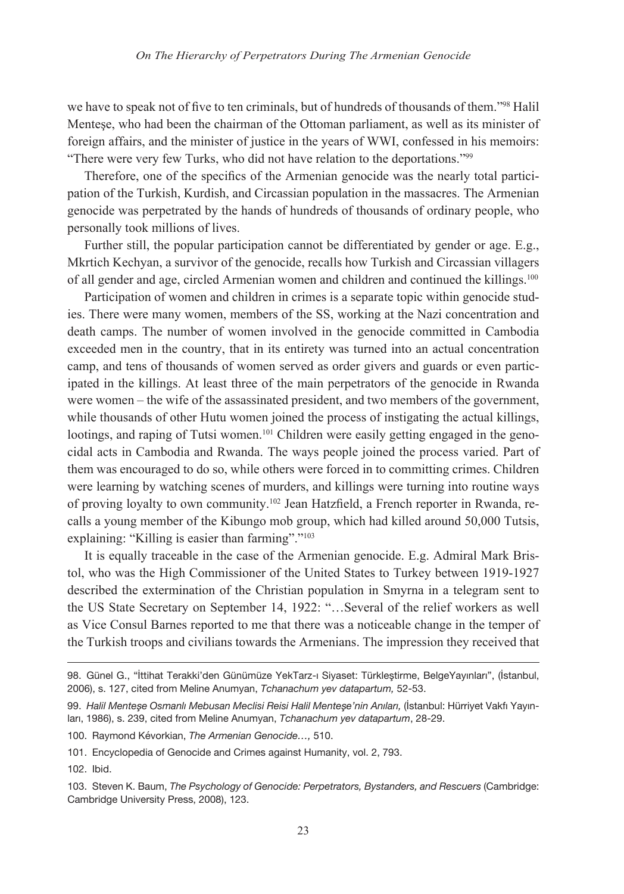we have to speak not of five to ten criminals, but of hundreds of thousands of them."98 Halil Menteşe, who had been the chairman of the Ottoman parliament, as well as its minister of foreign affairs, and the minister of justice in the years of WWI, confessed in his memoirs: "There were very few Turks, who did not have relation to the deportations."<sup>99</sup>

Therefore, one of the specifics of the Armenian genocide was the nearly total participation of the Turkish, Kurdish, and Circassian population in the massacres. The Armenian genocide was perpetrated by the hands of hundreds of thousands of ordinary people, who personally took millions of lives.

Further still, the popular participation cannot be differentiated by gender or age. E.g., Mkrtich Kechyan, a survivor of the genocide, recalls how Turkish and Circassian villagers of all gender and age, circled Armenian women and children and continued the killings.100

Participation of women and children in crimes is a separate topic within genocide studies. There were many women, members of the SS, working at the Nazi concentration and death camps. The number of women involved in the genocide committed in Cambodia exceeded men in the country, that in its entirety was turned into an actual concentration camp, and tens of thousands of women served as order givers and guards or even participated in the killings. At least three of the main perpetrators of the genocide in Rwanda were women – the wife of the assassinated president, and two members of the government, while thousands of other Hutu women joined the process of instigating the actual killings, lootings, and raping of Tutsi women.<sup>101</sup> Children were easily getting engaged in the genocidal acts in Cambodia and Rwanda. The ways people joined the process varied. Part of them was encouraged to do so, while others were forced in to committing crimes. Children were learning by watching scenes of murders, and killings were turning into routine ways of proving loyalty to own community.102 Jean Hatzfield, a French reporter in Rwanda, recalls a young member of the Kibungo mob group, which had killed around 50,000 Tutsis, explaining: "Killing is easier than farming"."<sup>103</sup>

It is equally traceable in the case of the Armenian genocide. E.g. Admiral Mark Bristol, who was the High Commissioner of the United States to Turkey between 1919-1927 described the extermination of the Christian population in Smyrna in a telegram sent to the US State Secretary on September 14, 1922: "…Several of the relief workers as well as Vice Consul Barnes reported to me that there was a noticeable change in the temper of the Turkish troops and civilians towards the Armenians. The impression they received that

100. Raymond Kévorkian, *The Armenian Genocide…,* 510.

<sup>98.</sup> Günel G., "İttihat Terakki'den Günümüze YekTarz-ı Siyaset: Türkleştirme, BelgeYayınları", (İstanbul, 2006), s. 127, cited from Meline Anumyan, *Tchanachum yev datapartum,* 52-53.

<sup>99.</sup> *Halil Menteşe Osmanlı Mebusan Meclisi Reisi Halil Menteşe'nin Anıları,* (İstanbul: Hürriyet Vakfı Yayınları, 1986), s. 239, cited from Meline Anumyan, *Tchanachum yev datapartum*, 28-29.

<sup>101.</sup> Encyclopedia of Genocide and Crimes against Humanity, vol. 2, 793.

<sup>102.</sup> Ibid.

<sup>103.</sup> Steven K. Baum, *The Psychology of Genocide: Perpetrators, Bystanders, and Rescuers* (Cambridge: Cambridge University Press, 2008), 123.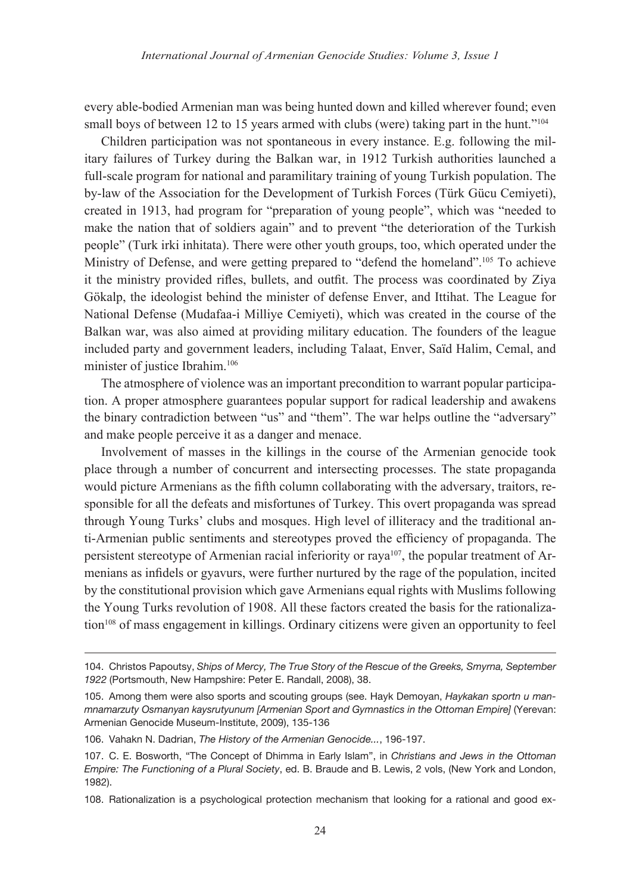every able-bodied Armenian man was being hunted down and killed wherever found; even small boys of between 12 to 15 years armed with clubs (were) taking part in the hunt."<sup>104</sup>

Children participation was not spontaneous in every instance. E.g. following the military failures of Turkey during the Balkan war, in 1912 Turkish authorities launched a full-scale program for national and paramilitary training of young Turkish population. The by-law of the Association for the Development of Turkish Forces (Türk Gücu Cemiyeti), created in 1913, had program for "preparation of young people", which was "needed to make the nation that of soldiers again" and to prevent "the deterioration of the Turkish people" (Turk irki inhitata). There were other youth groups, too, which operated under the Ministry of Defense, and were getting prepared to "defend the homeland".<sup>105</sup> To achieve it the ministry provided rifles, bullets, and outfit. The process was coordinated by Ziya Gökalp, the ideologist behind the minister of defense Enver, and Ittihat. The League for National Defense (Mudafaa-i Milliye Cemiyeti), which was created in the course of the Balkan war, was also aimed at providing military education. The founders of the league included party and government leaders, including Talaat, Enver, Saïd Halim, Cemal, and minister of justice Ibrahim.<sup>106</sup>

The atmosphere of violence was an important precondition to warrant popular participation. A proper atmosphere guarantees popular support for radical leadership and awakens the binary contradiction between "us" and "them". The war helps outline the "adversary" and make people perceive it as a danger and menace.

Involvement of masses in the killings in the course of the Armenian genocide took place through a number of concurrent and intersecting processes. The state propaganda would picture Armenians as the fifth column collaborating with the adversary, traitors, responsible for all the defeats and misfortunes of Turkey. This overt propaganda was spread through Young Turks' clubs and mosques. High level of illiteracy and the traditional anti-Armenian public sentiments and stereotypes proved the efficiency of propaganda. The persistent stereotype of Armenian racial inferiority or  $raya<sup>107</sup>$ , the popular treatment of Armenians as infidels or gyavurs, were further nurtured by the rage of the population, incited by the constitutional provision which gave Armenians equal rights with Muslims following the Young Turks revolution of 1908. All these factors created the basis for the rationalization<sup>108</sup> of mass engagement in killings. Ordinary citizens were given an opportunity to feel

<sup>104.</sup> Christos Papoutsy, *Ships of Mercy, The True Story of the Rescue of the Greeks, Smyrna, September 1922* (Portsmouth, New Hampshire: Peter E. Randall, 2008), 38.

<sup>105.</sup> Among them were also sports and scouting groups (see. Hayk Demoyan, *Haykakan sportn u manmnamarzuty Osmanyan kaysrutyunum [Armenian Sport and Gymnastics in the Ottoman Empire]* (Yerevan: Armenian Genocide Museum-Institute, 2009), 135-136

<sup>106.</sup> Vahakn N. Dadrian, *The History of the Armenian Genocide...*, 196-197.

<sup>107.</sup> C. E. Bosworth, "The Concept of Dhimma in Early Islam", in *Christians and Jews in the Ottoman Empire: The Functioning of a Plural Society*, ed. B. Braude and B. Lewis, 2 vols, (New York and London, 1982).

<sup>108.</sup> Rationalization is a psychological protection mechanism that looking for a rational and good ex-